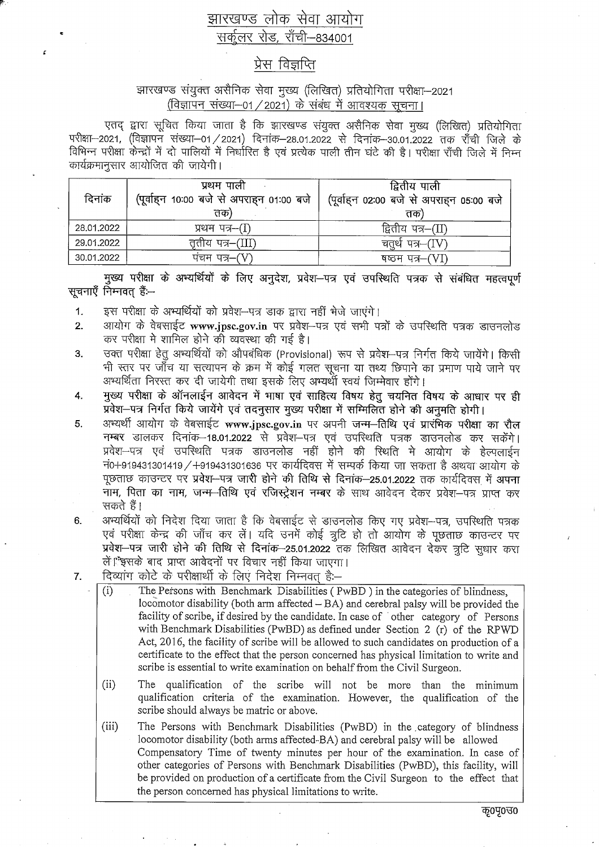## झारखण्ड लोक सेवा आयोग सर्कुलर रोड, राँची-834001

## प्रेस विज्ञप्ति

## झारखण्ड संयुक्त असैनिक सेवा मुख्य (लिखित) प्रतियोगिता परीक्षा-2021 (विज्ञापन संख्या-01 / 2021) के संबंध में आवश्यक सूचना।

एतद् द्वारा सूचित किया जाता है कि झारखण्ड संयुक्त असैनिक सेवा मुख्य (लिखित) प्रतियोगिता परीक्षा-2021, (विज्ञापन संख्या-01/2021) दिनांक-28.01.2022 से दिनांक-30.01.2022 तक राँची जिले के कार्यक्रमानुसार आयोजित की जायेगी।

| दिनांक     | प्रथम पाली<br>(पूर्वाहन 10:00 बजे से अपराहन 01:00 बजे<br>तक) | द्वितीय पाली<br>(पूर्वाहन 02:00 बजे से अपराहन 05:00 बजे<br>तक |
|------------|--------------------------------------------------------------|---------------------------------------------------------------|
| 28.01.2022 | प्रथम पत्र–(I)                                               | द्वितीय पत्र–(II)                                             |
| 29.01.2022 | तृतीय पत्र–(III)                                             | चतुर्थ पत्र–(IV)                                              |
| 30.01.2022 | पचम पत्र–(V)                                                 | षष्ठम पत्र–(VI)                                               |

मुख्य परीक्षा के अभ्यर्थियों के लिए अनुदेश, प्रवेश-पत्र एवं उपस्थिति पत्रक से संबंधित महत्वपूर्ण सूचनाएँ निम्नवत् हैं:--

इस परीक्षा के अभ्यर्थियों को प्रवेश-पत्र डाक द्वारा नहीं भेजे जाएंगे।  $\mathbf 1$ 

x

- आयोग के वेबसाईट www.jpsc.gov.in पर प्रवेश-पत्र एवं सभी पत्रों के उपस्थिति पत्रक डाउनलोड  $2.$ कर परीक्षा मे शामिल होने की व्यवस्था की गई है।
- उक्त परीक्षा हेतू अभ्यर्थियों को औपबंधिक (Provisional) रूप से प्रवेश-पत्र निर्गत किये जायेंगे। किसी  $3.$ भी स्तर पर जाँच या सत्यापन के क्रम में कोई गलत सूचना या तथ्य छिपाने का प्रमाण पाये जाने पर अभ्यर्थिता निरस्त कर दी जायेगी तथा इसके लिए अभ्यर्थों स्वयं जिम्मेवार होंगे।
- मुख्य परीक्षा के ऑनलाईन आवेदन में भाषा एवं साहित्य विषय हेतू चयनित विषय के आधार पर ही 4. प्रवेश-पत्र निर्गत किये जायेंगे एवं तदनुसार मुख्य परीक्षा में सम्मिलित होने की अनुमति होगी।
- 5. अभ्यर्थी आयोग के वेबसाईट www.jpsc.gov.in पर अपनी जन्म-तिथि एवं प्रारंभिक परीक्षा का रौल नम्बर डालकर दिनांक–18.01.2022 से प्रवेश–पत्र एवं उपस्थिति पत्रक डाउनलोड कर सकेंगे। प्रवेश-पत्र एवं उपस्थिति पत्रक डाउनलोड नहीं होने की स्थिति मे आयोग के हेल्पलाईन नं0+919431301419 / +919431301636 पर कार्यदिवस में सम्पर्क किया जा सकता है अथवा आयोग के पूछताछ काउन्टर पर प्रवेश-पत्र जारी होने की तिथि से दिनांक-25.01.2022 तक कार्यदिवस में अपना नाम, पिता का नाम, जन्म-तिथि एवं रजिस्ट्रेशन नम्बर के साथ आवेदन देकर प्रवेश-पत्र प्राप्त कर सकते हैं।
- अभ्यर्थियों को निदेश दिया जाता है कि वेबसाईट से डाउनलोड किए गए प्रवेश--पत्र, उपस्थिति पत्रक 6. एवं परीक्षा केन्द्र की जाँच कर लें। यदि उनमें कोई त्रूटि हो तो आयोग के पूछताछ काउन्टर पर प्रवेश—पत्र जारी होने की तिथि से दिनांक—25.01.2022 तक लिखित आवेदन देकर त्रटि सधार करा लें। इसके बाद प्राप्त आवेदनों पर विचार नहीं किया जाएगा।
- दिव्यांग कोटे के परीक्षार्थी के लिए निदेश निम्नवत है:- $7.$ 
	- The Persons with Benchmark Disabilities (PwBD) in the categories of blindness,  $(i)$ locomotor disability (both arm affected  $-\overrightarrow{BA}$ ) and cerebral palsy will be provided the facility of scribe, if desired by the candidate. In case of other category of Persons with Benchmark Disabilities (PwBD) as defined under Section 2 (r) of the RPWD Act, 2016, the facility of scribe will be allowed to such candidates on production of a certificate to the effect that the person concerned has physical limitation to write and scribe is essential to write examination on behalf from the Civil Surgeon.
	- $(ii)$ The qualification of the scribe will not be more than the minimum qualification criteria of the examination. However, the qualification of the scribe should always be matric or above.

 $(iii)$ The Persons with Benchmark Disabilities (PwBD) in the category of blindness locomotor disability (both arms affected-BA) and cerebral palsy will be allowed Compensatory Time of twenty minutes per hour of the examination. In case of other categories of Persons with Benchmark Disabilities (PwBD), this facility, will be provided on production of a certificate from the Civil Surgeon to the effect that the person concerned has physical limitations to write.